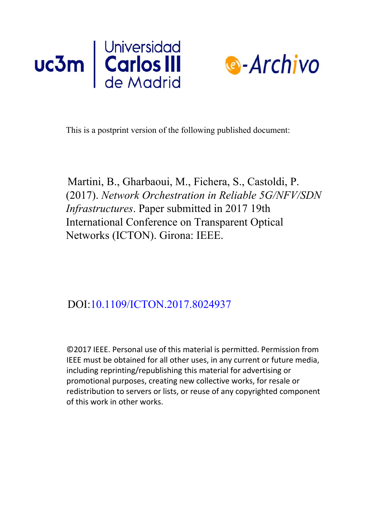



This is a postprint version of the following published document:

Martini, B., Gharbaoui, M., Fichera, S., Castoldi, P. (2017). *Network Orchestration in Reliable 5G/NFV/SDN Infrastructures*. Paper submitted in 2017 19th International Conference on Transparent Optical Networks (ICTON). Girona: IEEE.

# DOI:[10.1109/ICTON.2017.8024937](https://doi.org/10.1109/ICTON.2017.8024937)

©2017 IEEE. Personal use of this material is permitted. Permission from IEEE must be obtained for all other uses, in any current or future media, including reprinting/republishing this material for advertising or promotional purposes, creating new collective works, for resale or redistribution to servers or lists, or reuse of any copyrighted component of this work in other works.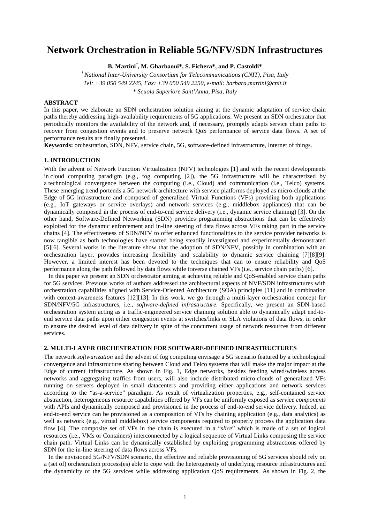# **Network Orchestration in Reliable 5G/NFV/SDN Infrastructures**

**B. Martini**† **, M. Gharbaoui\*, S. Fichera\*, and P. Castoldi\***

*† National Inter-University Consortium for Telecommunications (CNIT), Pisa, Italy Tel: +39 050 549 2245, Fax: +39 050 549 2250, e-mail: barbara.martini@cnit.it \* Scuola Superiore Sant'Anna, Pisa, Italy*

# **ABSTRACT**

In this paper, we elaborate an SDN orchestration solution aiming at the dynamic adaptation of service chain paths thereby addressing high-availability requirements of 5G applications. We present an SDN orchestrator that periodically monitors the availability of the network and, if necessary, promptly adapts service chain paths to recover from congestion events and to preserve network QoS performance of service data flows. A set of performance results are finally presented.

**Keywords:** orchestration, SDN, NFV, service chain, 5G, software-defined infrastructure, Internet of things.

# **1. INTRODUCTION**

With the advent of Network Function Virtualization (NFV) technologies [1] and with the recent developments in cloud computing paradigm (e.g., fog computing [2]), the 5G infrastructure will be characterized by a technological convergence between the computing (i.e., Cloud) and communication (i.e., Telco) systems. These emerging trend portends a 5G network architecture with service platforms deployed as micro-clouds at the Edge of 5G infrastructure and composed of generalized Virtual Functions (VFs) providing both applications (e.g., IoT gateways or service overlays) and network services (e.g., middlebox appliances) that can be dynamically composed in the process of end-to-end service delivery (i.e., dynamic service chaining) [3]. On the other hand, Software-Defined Networking (SDN) provides programming abstractions that can be effectively exploited for the dynamic enforcement and in-line steering of data flows across VFs taking part in the service chains [4]. The effectiveness of SDN/NFV to offer enhanced functionalities to the service provider networks is now tangible as both technologies have started being steadily investigated and experimentally demonstrated [5][6]. Several works in the literature show that the adoption of SDN/NFV, possibly in combination with an orchestration layer, provides increasing flexibility and scalability to dynamic service chaining [7][8][9]. However, a limited interest has been devoted to the techniques that can to ensure reliability and QoS performance along the path followed by data flows while traverse chained VFs (i.e., service chain paths) [6].

In this paper we present an SDN orchestrator aiming at achieving reliable and QoS-enabled service chain paths for 5G services. Previous works of authors addressed the architectural aspects of NVF/SDN infrastructures with orchestration capabilities aligned with Service-Oriented Architecture (SOA) principles [11] and in combination with context-awareness features [12][13]. In this work, we go through a multi-layer orchestration concept for SDN/NFV/5G infrastructures, i.e., *software-defined infrastructure*. Specifically, we present an SDN-based orchestration system acting as a traffic-engineered service chaining solution able to dynamically adapt end-toend service data paths upon either congestion events at switches/links or SLA violations of data flows, in order to ensure the desired level of data delivery in spite of the concurrent usage of network resources from different services.

#### **2. MULTI-LAYER ORCHESTRATION FOR SOFTWARE-DEFINED INFRASTRUCTURES**

The network *softwarization* and the advent of fog computing envisage a 5G scenario featured by a technological convergence and infrastructure sharing between Cloud and Telco systems that will make the major impact at the Edge of current infrastructure. As shown in Fig. 1, Edge networks, besides feeding wired/wireless access networks and aggregating traffics from users, will also include distributed micro-clouds of generalized VFs running on servers deployed in small datacenters and providing either applications and network services according to the "as-a-service" paradigm. As result of virtualization properties, e.g., self-contained service abstraction, heterogeneous resource capabilities offered by VFs can be uniformly exposed as *service components* with APIs and dynamically composed and provisioned in the process of end-to-end service delivery. Indeed, an end-to-end service can be provisioned as a composition of VFs by chaining application (e.g., data analytics) as well as network (e.g., virtual middlebox) service components required to properly process the application data flow [4]. The composite set of VFs in the chain is executed in a "*slice*" which is made of a set of logical resources (i.e., VMs or Containers) interconnected by a logical sequence of Virtual Links composing the service chain path. Virtual Links can be dynamically established by exploiting programming abstractions offered by SDN for the in-line steering of data flows across VFs.

In the envisioned 5G/NFV/SDN scenario, the effective and reliable provisioning of 5G services should rely on a (set of) orchestration process(es) able to cope with the heterogeneity of underlying resource infrastructures and the dynamicity of the 5G services while addressing application QoS requirements. As shown in Fig. 2, the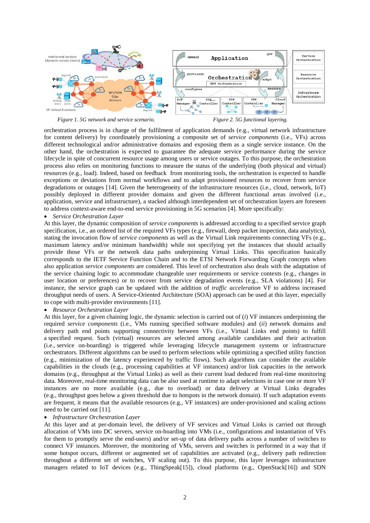



orchestration process is in charge of the fulfilment of application demands (e.g., virtual network infrastructure for content delivery) by coordinately provisioning a composite set of *service components* (i.e., VFs) across different technological and/or administrative domains and exposing them as a single service instance. On the other hand, the orchestration is expected to guarantee the adequate service performance during the service lifecycle in spite of concurrent resource usage among users or service outages. To this purpose, the orchestration process also relies on monitoring functions to measure the status of the underlying (both physical and virtual) resources (e.g., load). Indeed, based on feedback from monitoring tools, the orchestration is expected to handle exceptions or deviations from normal workflows and to adapt provisioned resources to recover from service degradations or outages [14]. Given the heterogeneity of the infrastructure resources (i.e., cloud, network, IoT) possibly deployed in different provider domains and given the different functional areas involved (i.e., application, service and infrastructure), a stacked although interdependent set of orchestration layers are foreseen to address context-aware end-to-end service provisioning in 5G scenarios [4]. More specifically:

# • *Service Orchestration Layer*

At this layer, the dynamic composition of *service components* is addressed according to a specified service graph specification, i.e., an ordered list of the required VFs types (e.g., firewall, deep packet inspection, data analytics), stating the invocation flow of *service components* as well as the Virtual Link requirements connecting VFs (e.g., maximum latency and/or minimum bandwidth) while not specifying yet the instances that should actually provide those VFs or the network data paths underpinning Virtual Links. This specification basically corresponds to the IETF Service Function Chain and to the ETSI Network Forwarding Graph concepts when also application *service components* are considered. This level of orchestration also deals with the adaptation of the service chaining logic to accommodate changeable user requirements or service contexts (e.g., changes in user location or preferences) or to recover from service degradation events (e.g., SLA violations) [4]. For instance, the service graph can be updated with the addition of *traffic acceleration* VF to address increased throughput needs of users. A Service-Oriented Architecture (SOA) approach can be used at this layer, especially to cope with multi-provider environments [11].

• *Resource Orchestration Layer*

At this layer, for a given chaining logic, the dynamic selection is carried out of (*i*) VF instances underpinning the required *service components* (i.e., VMs running specified software modules) and (*ii*) network domains and delivery path end points supporting connectivity between VFs (i.e., Virtual Links end points) to fulfill a specified request. Such (virtual) resources are selected among available candidates and their activation (i.e., service on-boarding) is triggered while leveraging lifecycle management systems or infrastructure orchestrators. Different algorithms can be used to perform selections while optimizing a specified utility function (e.g., minimization of the latency experienced by traffic flows). Such algorithms can consider the available capabilities in the clouds (e.g., processing capabilities at VF instances) and/or link capacities in the network domains (e.g., throughput at the Virtual Links) as well as their current load deduced from real-time monitoring data. Moreover, real-time monitoring data can be also used at runtime to adapt selections in case one or more VF instances are no more available (e.g., due to overload) or data delivery at Virtual Links degrades (e.g., throughput goes below a given threshold due to hotspots in the network domain). If such adaptation events are frequent, it means that the available resources (e.g., VF instances) are under-provisioned and scaling actions need to be carried out [11].

# • *Infrastructure Orchestration Layer*

At this layer and at per-domain level, the delivery of VF services and Virtual Links is carried out through allocation of VMs into DC servers, service on-boarding into VMs (i.e., configurations and instantiation of VFs for them to promptly serve the end-users) and/or set-up of data delivery paths across a number of switches to connect VF instances. Moreover, the monitoring of VMs, servers and switches is performed in a way that if some hotspot occurs, different or augmented set of capabilities are activated (e.g., delivery path redirection throughout a different set of switches, VF scaling out). To this purpose, this layer leverages infrastructure managers related to IoT devices (e.g., ThingSpeak[15]), cloud platforms (e.g., OpenStack[16]) and SDN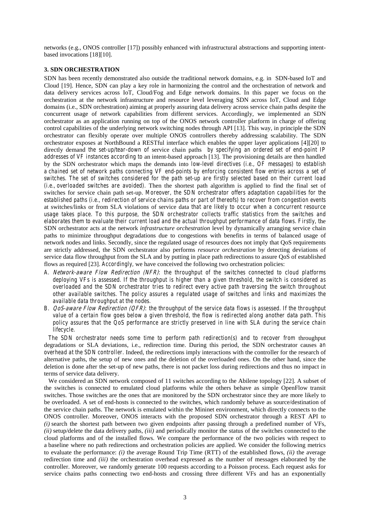networks (e.g., ONOS controller [17]) possibly enhanced with infrastructural abstractions and supporting intentbased invocations [18][10].

# **3. SDN ORCHESTRATION**

SDN has been recently demonstrated also outside the traditional network domains, e.g. in SDN-based IoT and Cloud [19]. Hence, SDN can play a key role in harmonizing the control and the orchestration of network and data delivery services across IoT, Cloud/Fog and Edge network domains. In this paper we focus on the orchestration at the network infrastructure and resource level leveraging SDN across IoT, Cloud and Edge domains (i.e., SDN orchestration) aiming at properly assuring data delivery across service chain paths despite the concurrent usage of network capabilities from different services. Accordingly, we implemented an SDN orchestrator as an application running on top of the ONOS network controller platform in charge of offering control capabilities of the underlying network switching nodes through API [13]. This way, in principle the SDN orchestrator can flexibly operate over multiple ONOS controllers thereby addressing scalability. The SDN orchestrator exposes at NorthBound a RESTful interface which enables the upper layer applications [4][20] to directly demand *the set-up/tear-down of* service chain paths *by specifying an ordered set of end-point IP addresses of VF instances according to* an intent-based approach [13]. The provisioning details are then handled by the SDN orchestrator which maps the demands into *low-level directives (i.e., OF messages) to establish a chained set of network paths connecting VF end-points by enforcing consistent flow entries across a set of switches. The set of switches considered for the path set-up are firstly selected based on their current load (i.e., overloaded switches are avoided).* Then the shortest path algorithm is applied to find the final set of switches for service chain path set-up. *Moreover, the SDN orchestrator offers adaptation capabilities for the established paths (i.e., redirection of service chains paths or part of thereofs) to recover from congestion events* at switches/links or from SLA violations of service data *that are likely to occur when a concurrent resource usage takes place. To this purpose, the SDN orchestrator collects traffic statistics from the switches and elaborates them to evaluate their current load and the actual throughput performance of data flows. Firstly, t*he SDN orchestrator acts at the network *infrastructure orchestration* level by dynamically arranging service chain paths to minimize throughput degradations due to congestions with benefits in terms of balanced usage of network nodes and links. Secondly, since the regulated usage of resources does not imply that QoS requirements are strictly addressed, the SDN orchestrator also performs *resource orchestration* by detecting deviations of service data flow throughput from the SLA and by putting in place path redirections to assure QoS of established flows as required [23]. *Accordingly,* we have conceived the following two orchestration policies:

- *A. Network-aware Flow Redirection (NFR): the throughput of the switches connected to cloud platforms deploying VFs is assessed. If the throughput is higher than a given threshold, the switch is considered as overloaded and the SDN orchestrator tries to redirect every active path traversing the switch throughout other available switches. The policy assures a regulated usage of switches and links and maximizes the available data throughput at the nodes.*
- *B. QoS-aware Flow Redirection (QFR): the throughput of the service data flows is assessed. If the throughput value of a certain flow goes below a given threshold, the flow is redirected along another data path. This policy assures that the QoS performance are strictly preserved in line with SLA during the service chain lifecycle.*

*The SDN orchestrator needs some time to perform path redirection(s) and to recover from* throughput degradations or SLA deviations, i.e., redirection time. During this period, the SDN orchestrator causes *an overhead at the SDN controller.* Indeed, the redirections imply interactions with the controller for the research of alternative paths, the setup of new ones and the deletion of the overloaded ones. On the other hand, since the deletion is done after the set-up of new paths, there is not packet loss during redirections and thus no impact in terms of service data delivery.

We considered an SDN network composed of 11 switches according to the Abilene topology [22]. A subset of the switches is connected to emulated cloud platforms while the others behave as simple OpenFlow transit switches. Those switches are the ones that are monitored by the SDN orchestrator since they are more likely to be overloaded. A set of end-hosts is connected to the switches, which randomly behave as source/destination of the service chain paths. The network is emulated within the Mininet environment, which directly connects to the ONOS controller. Moreover, ONOS interacts with the proposed SDN orchestrator through a REST API to *(i)* search the shortest path between two given endpoints after passing through a predefined number of VFs, *(ii)* setup/delete the data delivery paths, *(iii)* and periodically monitor the status of the switches connected to the cloud platforms and of the installed flows. We compare the performance of the two policies with respect to a baseline where no path redirections and orchestration policies are applied. We consider the following metrics to evaluate the performance: *(i)* the average Round Trip Time (RTT) of the established flows, *(ii)* the average redirection time and *(iii)* the orchestration overhead expressed as the number of messages elaborated by the controller. Moreover, we randomly generate 100 requests according to a Poisson process. Each request asks for service chains paths connecting two end-hosts and crossing three different VFs and has an exponentially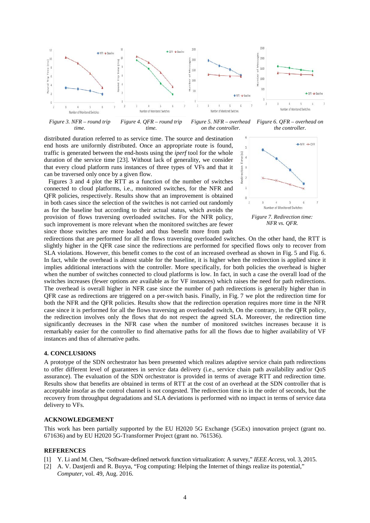

*Figure 3. NFR – round trip time. Figure 4. QFR – round trip time. Figure 5. NFR – overhead on the controller. Figure 6. QFR – overhead on the controller.*

distributed duration referred to as service time. The source and destination end hosts are uniformly distributed. Once an appropriate route is found, traffic is generated between the end-hosts using the *iperf* tool for the whole duration of the service time [23]. Without lack of generality, we consider that every cloud platform runs instances of three types of VFs and that it can be traversed only once by a given flow.

Figures 3 and 4 plot the RTT as a function of the number of switches connected to cloud platforms, i.e., monitored switches, for the NFR and QFR policies, respectively. Results show that an improvement is obtained in both cases since the selection of the switches is not carried out randomly as for the baseline but according to their actual status, which avoids the provision of flows traversing overloaded switches. For the NFR policy, such improvement is more relevant when the monitored switches are fewer since those switches are more loaded and thus benefit more from path



*NFR vs. QFR.*

redirections that are performed for all the flows traversing overloaded switches. On the other hand, the RTT is slightly higher in the QFR case since the redirections are performed for specified flows only to recover from SLA violations. However, this benefit comes to the cost of an increased overhead as shown in Fig. 5 and Fig. 6. In fact, while the overhead is almost stable for the baseline, it is higher when the redirection is applied since it implies additional interactions with the controller. More specifically, for both policies the overhead is higher when the number of switches connected to cloud platforms is low. In fact, in such a case the overall load of the switches increases (fewer options are available as for VF instances) which raises the need for path redirections. The overhead is overall higher in NFR case since the number of path redirections is generally higher than in QFR case as redirections are triggered on a per-switch basis. Finally, in Fig. 7 we plot the redirection time for both the NFR and the QFR policies. Results show that the redirection operation requires more time in the NFR case since it is performed for all the flows traversing an overloaded switch, On the contrary, in the QFR policy, the redirection involves only the flows that do not respect the agreed SLA. Moreover, the redirection time significantly decreases in the NFR case when the number of monitored switches increases because it is remarkably easier for the controller to find alternative paths for all the flows due to higher availability of VF instances and thus of alternative paths.

#### **4. CONCLUSIONS**

A prototype of the SDN orchestrator has been presented which realizes adaptive service chain path redirections to offer different level of guarantees in service data delivery (i.e., service chain path availability and/or QoS assurance). The evaluation of the SDN orchestrator is provided in terms of average RTT and redirection time. Results show that benefits are obtained in terms of RTT at the cost of an overhead at the SDN controller that is acceptable insofar as the control channel is not congested. The redirection time is in the order of seconds, but the recovery from throughput degradations and SLA deviations is performed with no impact in terms of service data delivery to VFs.

#### **ACKNOWLEDGEMENT**

This work has been partially supported by the EU H2020 5G Exchange (5GEx) innovation project (grant no. 671636) and by EU H2020 5G-Transformer Project (grant no. 761536).

### **REFERENCES**

- [1] Y. Li and M. Chen, "Software-defined network function virtualization: A survey," *IEEE Access*, vol. 3, 2015.
- [2] A. V. Dastjerdi and R. Buyya, "Fog computing: Helping the Internet of things realize its potential," *Computer*, vol. 49, Aug. 2016.